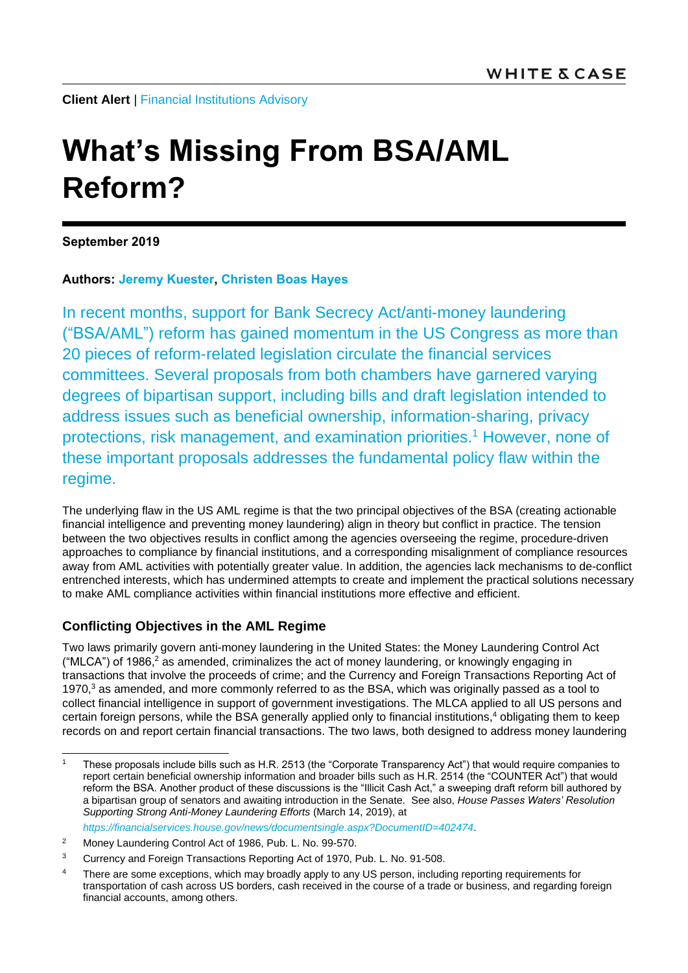**Client Alert** | [Financial Institutions Advisory](https://www.whitecase.com/law/practices/financial-institutions-advisory)

# **What's Missing From BSA/AML Reform?**

**September 2019**

# **Authors: [Jeremy Kuester,](https://www.whitecase.com/people/jeremy-kuester) [Christen Boas Hayes](mailto:christen.boashayes@whitecase.com)**

In recent months, support for Bank Secrecy Act/anti-money laundering ("BSA/AML") reform has gained momentum in the US Congress as more than 20 pieces of reform-related legislation circulate the financial services committees. Several proposals from both chambers have garnered varying degrees of bipartisan support, including bills and draft legislation intended to address issues such as beneficial ownership, information-sharing, privacy protections, risk management, and examination priorities.<sup>1</sup> However, none of these important proposals addresses the fundamental policy flaw within the regime.

The underlying flaw in the US AML regime is that the two principal objectives of the BSA (creating actionable financial intelligence and preventing money laundering) align in theory but conflict in practice. The tension between the two objectives results in conflict among the agencies overseeing the regime, procedure-driven approaches to compliance by financial institutions, and a corresponding misalignment of compliance resources away from AML activities with potentially greater value. In addition, the agencies lack mechanisms to de-conflict entrenched interests, which has undermined attempts to create and implement the practical solutions necessary to make AML compliance activities within financial institutions more effective and efficient.

# **Conflicting Objectives in the AML Regime**

Two laws primarily govern anti-money laundering in the United States: the Money Laundering Control Act ("MLCA") of 1986,<sup>2</sup> as amended, criminalizes the act of money laundering, or knowingly engaging in transactions that involve the proceeds of crime; and the Currency and Foreign Transactions Reporting Act of 1970,<sup>3</sup> as amended, and more commonly referred to as the BSA, which was originally passed as a tool to collect financial intelligence in support of government investigations. The MLCA applied to all US persons and certain foreign persons, while the BSA generally applied only to financial institutions,<sup>4</sup> obligating them to keep records on and report certain financial transactions. The two laws, both designed to address money laundering

<sup>-</sup><sup>1</sup> These proposals include bills such as H.R. 2513 (the "Corporate Transparency Act") that would require companies to report certain beneficial ownership information and broader bills such as H.R. 2514 (the "COUNTER Act") that would reform the BSA. Another product of these discussions is the "Illicit Cash Act," a sweeping draft reform bill authored by a bipartisan group of senators and awaiting introduction in the Senate. See also, *House Passes Waters' Resolution Supporting Strong Anti-Money Laundering Efforts* (March 14, 2019), at *<https://financialservices.house.gov/news/documentsingle.aspx?DocumentID=402474>*.

<sup>2</sup> Money Laundering Control Act of 1986, Pub. L. No. 99-570.

<sup>&</sup>lt;sup>3</sup> Currency and Foreign Transactions Reporting Act of 1970, Pub. L. No. 91-508.

<sup>&</sup>lt;sup>4</sup> There are some exceptions, which may broadly apply to any US person, including reporting requirements for transportation of cash across US borders, cash received in the course of a trade or business, and regarding foreign financial accounts, among others.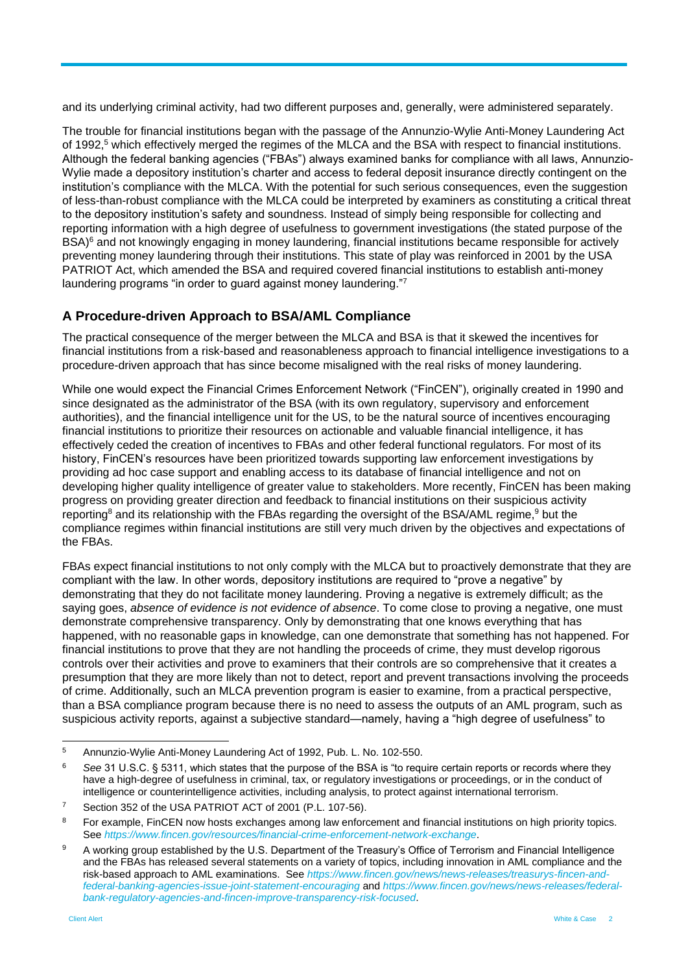and its underlying criminal activity, had two different purposes and, generally, were administered separately.

The trouble for financial institutions began with the passage of the Annunzio-Wylie Anti-Money Laundering Act of 1992,<sup>5</sup> which effectively merged the regimes of the MLCA and the BSA with respect to financial institutions. Although the federal banking agencies ("FBAs") always examined banks for compliance with all laws, Annunzio-Wylie made a depository institution's charter and access to federal deposit insurance directly contingent on the institution's compliance with the MLCA. With the potential for such serious consequences, even the suggestion of less-than-robust compliance with the MLCA could be interpreted by examiners as constituting a critical threat to the depository institution's safety and soundness. Instead of simply being responsible for collecting and reporting information with a high degree of usefulness to government investigations (the stated purpose of the BSA)<sup>6</sup> and not knowingly engaging in money laundering, financial institutions became responsible for actively preventing money laundering through their institutions. This state of play was reinforced in 2001 by the USA PATRIOT Act, which amended the BSA and required covered financial institutions to establish anti-money laundering programs "in order to guard against money laundering."<sup>7</sup>

# **A Procedure-driven Approach to BSA/AML Compliance**

The practical consequence of the merger between the MLCA and BSA is that it skewed the incentives for financial institutions from a risk-based and reasonableness approach to financial intelligence investigations to a procedure-driven approach that has since become misaligned with the real risks of money laundering.

While one would expect the Financial Crimes Enforcement Network ("FinCEN"), originally created in 1990 and since designated as the administrator of the BSA (with its own regulatory, supervisory and enforcement authorities), and the financial intelligence unit for the US, to be the natural source of incentives encouraging financial institutions to prioritize their resources on actionable and valuable financial intelligence, it has effectively ceded the creation of incentives to FBAs and other federal functional regulators. For most of its history, FinCEN's resources have been prioritized towards supporting law enforcement investigations by providing ad hoc case support and enabling access to its database of financial intelligence and not on developing higher quality intelligence of greater value to stakeholders. More recently, FinCEN has been making progress on providing greater direction and feedback to financial institutions on their suspicious activity reporting<sup>8</sup> and its relationship with the FBAs regarding the oversight of the BSA/AML regime, <sup>9</sup> but the compliance regimes within financial institutions are still very much driven by the objectives and expectations of the FBAs.

FBAs expect financial institutions to not only comply with the MLCA but to proactively demonstrate that they are compliant with the law. In other words, depository institutions are required to "prove a negative" by demonstrating that they do not facilitate money laundering. Proving a negative is extremely difficult; as the saying goes, *absence of evidence is not evidence of absence*. To come close to proving a negative, one must demonstrate comprehensive transparency. Only by demonstrating that one knows everything that has happened, with no reasonable gaps in knowledge, can one demonstrate that something has not happened. For financial institutions to prove that they are not handling the proceeds of crime, they must develop rigorous controls over their activities and prove to examiners that their controls are so comprehensive that it creates a presumption that they are more likely than not to detect, report and prevent transactions involving the proceeds of crime. Additionally, such an MLCA prevention program is easier to examine, from a practical perspective, than a BSA compliance program because there is no need to assess the outputs of an AML program, such as suspicious activity reports, against a subjective standard—namely, having a "high degree of usefulness" to

 $\overline{5}$ <sup>5</sup> Annunzio-Wylie Anti-Money Laundering Act of 1992, Pub. L. No. 102-550.

<sup>6</sup> *See* 31 U.S.C. § 5311, which states that the purpose of the BSA is "to require certain reports or records where they have a high-degree of usefulness in criminal, tax, or regulatory investigations or proceedings, or in the conduct of intelligence or counterintelligence activities, including analysis, to protect against international terrorism.

Section 352 of the USA PATRIOT ACT of 2001 (P.L. 107-56).

For example, FinCEN now hosts exchanges among law enforcement and financial institutions on high priority topics. See *<https://www.fincen.gov/resources/financial-crime-enforcement-network-exchange>*.

<sup>9</sup> A working group established by the U.S. Department of the Treasury's Office of Terrorism and Financial Intelligence and the FBAs has released several statements on a variety of topics, including innovation in AML compliance and the risk-based approach to AML examinations. See *[https://www.fincen.gov/news/news-releases/treasurys-fincen-and](https://www.fincen.gov/news/news-releases/treasurys-fincen-and-federal-banking-agencies-issue-joint-statement-encouraging)[federal-banking-agencies-issue-joint-statement-encouraging](https://www.fincen.gov/news/news-releases/treasurys-fincen-and-federal-banking-agencies-issue-joint-statement-encouraging)* and *[https://www.fincen.gov/news/news-releases/federal](https://www.fincen.gov/news/news-releases/federal-bank-regulatory-agencies-and-fincen-improve-transparency-risk-focused)[bank-regulatory-agencies-and-fincen-improve-transparency-risk-focused](https://www.fincen.gov/news/news-releases/federal-bank-regulatory-agencies-and-fincen-improve-transparency-risk-focused)*.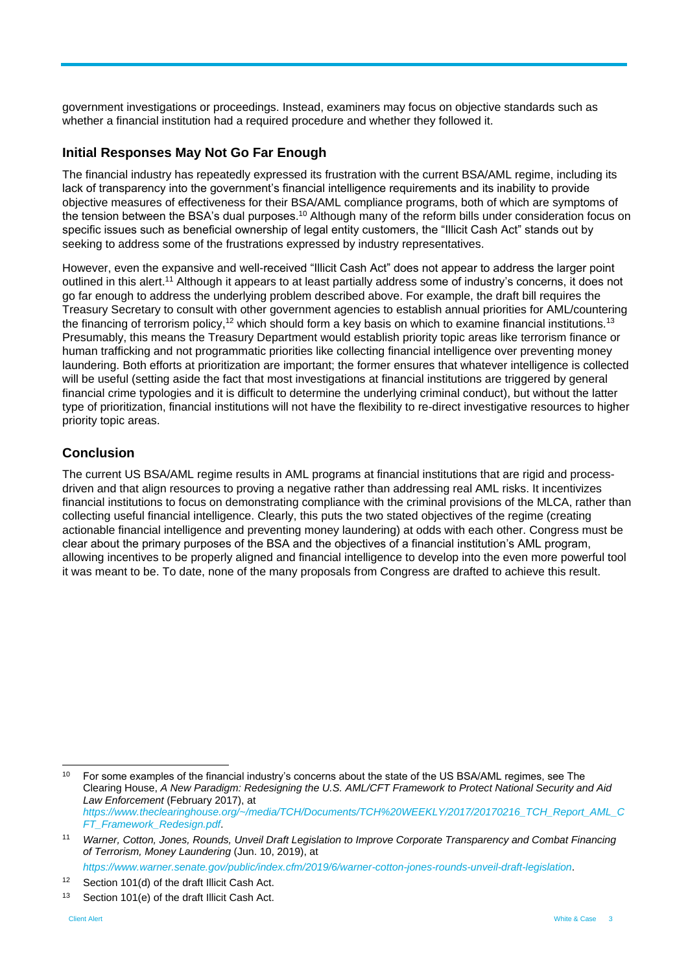government investigations or proceedings. Instead, examiners may focus on objective standards such as whether a financial institution had a required procedure and whether they followed it.

# **Initial Responses May Not Go Far Enough**

The financial industry has repeatedly expressed its frustration with the current BSA/AML regime, including its lack of transparency into the government's financial intelligence requirements and its inability to provide objective measures of effectiveness for their BSA/AML compliance programs, both of which are symptoms of the tension between the BSA's dual purposes.<sup>10</sup> Although many of the reform bills under consideration focus on specific issues such as beneficial ownership of legal entity customers, the "Illicit Cash Act" stands out by seeking to address some of the frustrations expressed by industry representatives.

However, even the expansive and well-received "Illicit Cash Act" does not appear to address the larger point outlined in this alert.<sup>11</sup> Although it appears to at least partially address some of industry's concerns, it does not go far enough to address the underlying problem described above. For example, the draft bill requires the Treasury Secretary to consult with other government agencies to establish annual priorities for AML/countering the financing of terrorism policy,<sup>12</sup> which should form a key basis on which to examine financial institutions.<sup>13</sup> Presumably, this means the Treasury Department would establish priority topic areas like terrorism finance or human trafficking and not programmatic priorities like collecting financial intelligence over preventing money laundering. Both efforts at prioritization are important; the former ensures that whatever intelligence is collected will be useful (setting aside the fact that most investigations at financial institutions are triggered by general financial crime typologies and it is difficult to determine the underlying criminal conduct), but without the latter type of prioritization, financial institutions will not have the flexibility to re-direct investigative resources to higher priority topic areas.

# **Conclusion**

The current US BSA/AML regime results in AML programs at financial institutions that are rigid and processdriven and that align resources to proving a negative rather than addressing real AML risks. It incentivizes financial institutions to focus on demonstrating compliance with the criminal provisions of the MLCA, rather than collecting useful financial intelligence. Clearly, this puts the two stated objectives of the regime (creating actionable financial intelligence and preventing money laundering) at odds with each other. Congress must be clear about the primary purposes of the BSA and the objectives of a financial institution's AML program, allowing incentives to be properly aligned and financial intelligence to develop into the even more powerful tool it was meant to be. To date, none of the many proposals from Congress are drafted to achieve this result.

*<https://www.warner.senate.gov/public/index.cfm/2019/6/warner-cotton-jones-rounds-unveil-draft-legislation>*.

-

<sup>&</sup>lt;sup>10</sup> For some examples of the financial industry's concerns about the state of the US BSA/AML regimes, see The Clearing House, *A New Paradigm: Redesigning the U.S. AML/CFT Framework to Protect National Security and Aid Law Enforcement* (February 2017), at *[https://www.theclearinghouse.org/~/media/TCH/Documents/TCH%20WEEKLY/2017/20170216\\_TCH\\_Report\\_AML\\_C](https://www.theclearinghouse.org/~/media/TCH/Documents/TCH%20WEEKLY/2017/20170216_TCH_Report_AML_CFT_Framework_Redesign.pdf) [FT\\_Framework\\_Redesign.pdf](https://www.theclearinghouse.org/~/media/TCH/Documents/TCH%20WEEKLY/2017/20170216_TCH_Report_AML_CFT_Framework_Redesign.pdf)*.

<sup>11</sup> *Warner, Cotton, Jones, Rounds, Unveil Draft Legislation to Improve Corporate Transparency and Combat Financing of Terrorism, Money Laundering* (Jun. 10, 2019), at

<sup>&</sup>lt;sup>12</sup> Section 101(d) of the draft Illicit Cash Act.

<sup>13</sup> Section 101(e) of the draft Illicit Cash Act.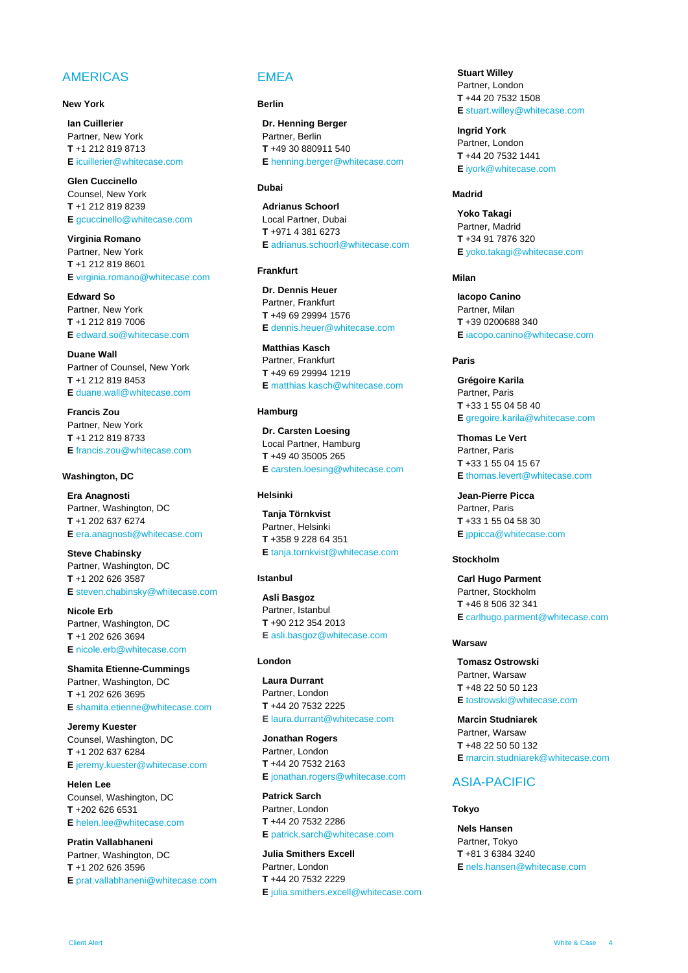# AMERICAS

### **New York**

**Ian [Cuillerier](https://www.whitecase.com/people/ian-cuillerier)** Partner, New York **T** +1 212 819 8713 **E** [icuillerier@whitecase.com](mailto:icuillerier@whitecase.com)

**[Glen Cuccinello](https://www.whitecase.com/people/glen-cuccinello)** Counsel, New York **T** +1 212 819 8239 **E** [gcuccinello@whitecase.com](mailto:gcuccinello@whitecase.com)

**[Virginia Romano](https://www.whitecase.com/people/virginia-chavez-romano)** Partner, New York **T** +1 212 819 8601 **E** [virginia.romano@whitecase.com](mailto:virginia.romano@whitecase.com)

**[Edward So](https://www.whitecase.com/people/edward-so)** Partner, New York **T** +1 212 819 7006 **E** [edward.so@whitecase.com](mailto:edward.so@whitecase.com)

**[Duane Wall](https://www.whitecase.com/people/duane-wall)** Partner of Counsel, New York **T** +1 212 819 8453 **E** [duane.wall@whitecase.com](mailto:dwall@whitecase.com)

**[Francis Zou](https://www.whitecase.com/people/francis-zou)** Partner, New York **T** +1 212 819 8733 **E** [francis.zou@whitecase.com](mailto:francis.zou@whitecase.com)

#### **Washington, DC**

**[Era Anagnosti](https://www.whitecase.com/people/era-anagnosti)** Partner, Washington, DC **T** +1 202 637 6274 **E** [era.anagnosti@whitecase.com](mailto:era.anagnosti@whitecase.com)

**[Steve Chabinsky](https://www.whitecase.com/people/steven-r-chabinsky)** Partner, Washington, DC **T** +1 202 626 3587 **E** [steven.chabinsky@whitecase.com](mailto:steven.chabinsky@whitecase.com)

**[Nicole Erb](https://www.whitecase.com/people/nicole-erb)** Partner, Washington, DC **T** +1 202 626 3694 **E** [nicole.erb@whitecase.com](mailto:nerb@whitecase.com)

**[Shamita Etienne-Cummings](https://www.whitecase.com/people/shamita-etienne-cummings)** Partner, Washington, DC **T** +1 202 626 3695 **E** [shamita.etienne@whitecase.com](mailto:setienne@whitecase.com)

**[Jeremy Kuester](https://www.whitecase.com/people/jeremy-kuester)** Counsel, Washington, DC **T** +1 202 637 6284 **E** [jeremy.kuester@whitecase.com](mailto:jeremy.kuester@whitecase.com)

**[Helen Lee](https://www.whitecase.com/people/helen-lee)** Counsel, Washington, DC **T** +202 626 6531 **E** [helen.lee@whitecase.com](mailto:helen.lee@whitecase.com)

**[Pratin Vallabhaneni](https://www.whitecase.com/people/pratin-vallabhaneni)** Partner, Washington, DC **T** +1 202 626 3596 **E** [prat.vallabhaneni@whitecase.com](mailto:prat.vallabhaneni@whitecase.com)

# EMEA

#### **Berlin**

**[Dr. Henning Berger](https://www.whitecase.com/people/henning-berger)** Partner, Berlin **T** +49 30 880911 540 **E** [henning.berger@whitecase.com](mailto:henning.berger@whitecase.com)

## **Dubai**

**[Adrianus Schoorl](https://www.whitecase.com/people/adrianus-schoorl)** Local Partner, Dubai **T** +971 4 381 6273 **E** [adrianus.schoorl@whitecase.com](mailto:adrianus.schoorl@whitecase.com)

### **Frankfurt**

**[Dr. Dennis Heuer](https://www.whitecase.com/people/dennis-heuer)** Partner, Frankfurt **T** +49 69 29994 1576 **E** [dennis.heuer@whitecase.com](mailto:dheuer@whitecase.com)

**[Matthias Kasch](https://www.whitecase.com/people/matthias-kasch?s=kasch)** Partner, Frankfurt **T** +49 69 29994 1219 **E** [matthias.kasch@whitecase.com](mailto:mkasch@whitecase.com)

## **Hamburg**

**Dr[. Carsten Loesing](https://www.whitecase.com/people/carsten-losing?s=loesing)** Local Partner, Hamburg **T** +49 40 35005 265 **E** [carsten.loesing@whitecase.com](mailto:carsten.loesing@whitecase.com)

#### **Helsinki**

**[Tanja Törnkvist](https://www.whitecase.com/people/tanja-tornkvist)** Partner, Helsinki **T** +358 9 228 64 351 **E** [tanja.tornkvist@whitecase.com](mailto:ttornkvist@whitecase.com)

## **Istanbul**

**[Asli](https://www.whitecase.com/people/asli-basgoz) [Basgoz](https://www.whitecase.com/people/asli-basgoz)** Partner, Istanbul **T** +90 212 354 2013 **E** [asli.basgoz@whitecase.com](mailto:abasgoz@whitecase.com)

#### **London**

**[Laura Durrant](https://www.whitecase.com/people/laura-durrant)** Partner, London **T** +44 20 7532 2225 **E** [laura.durrant@whitecase.com](mailto:laura.durrant@whitecase.com)

**[Jonathan Rogers](https://www.whitecase.com/people/jonathan-rogers)** Partner, London **T** +44 20 7532 2163 **E** [jonathan.rogers@whitecase.com](mailto:jonathan.rogers@whitecase.com)

**[Patrick Sarch](https://www.whitecase.com/people/patrick-sarch)** Partner, London **T** +44 20 7532 2286 **E** [patrick.sarch@whitecase.com](mailto:patrick.sarch@whitecase.com)

**[Julia Smithers Excell](https://www.whitecase.com/people/julia-smithers-excell)** Partner, London **T** +44 20 7532 2229 **E** [julia.smithers.excell@whitecase.com](mailto:julia.smithers.excell@whitecase.com) **[Stuart Willey](https://www.whitecase.com/people/stuart-willey)** Partner, London **T** +44 20 7532 1508 **E** [stuart.willey@whitecase.com](mailto:swilley@whitecase.com)

**[Ingrid York](https://www.whitecase.com/people/ingrid-york)** Partner, London **T** +44 20 7532 1441 **E** [iyork@whitecase.com](mailto:iyork@whitecase.com)

### **Madrid**

**[Yoko Takagi](https://www.whitecase.com/people/yoko-takagi)** Partner, Madrid **T** +34 91 7876 320 **E** [yoko.takagi@whitecase.com](mailto:yoko.takagi@whitecase.com)

## **Milan**

**[Iacopo](https://www.whitecase.com/people/iacopo-canino) [Canino](https://www.whitecase.com/people/iacopo-canino)** Partner, Milan **T** +39 0200688 340 **E** [iacopo.canino@whitecase.com](mailto:icanino@whitecase.com)

#### **Paris**

**[Grégoire](https://www.whitecase.com/people/gregoire-karila) [Karila](https://www.whitecase.com/people/gregoire-karila)** Partner, Paris **T** +33 1 55 04 58 40 **E** [gregoire.karila@whitecase.com](mailto:gkarila@whitecase.com)

**[Thomas Le Vert](https://www.whitecase.com/people/thomas-le-vert)** Partner, Paris **T** +33 1 55 04 15 67 **E** [thomas.levert@whitecase.com](mailto:tlevert@whitecase.com)

**[Jean-Pierre Picca](https://www.whitecase.com/people/jean-pierre-picca)** Partner, Paris **T** +33 1 55 04 58 30 **E** [jppicca@whitecase.com](mailto:jppicca@whitecase.com)

#### **Stockholm**

**[Carl Hugo Parment](https://www.whitecase.com/people/carl-hugo-parment)** Partner, Stockholm **T** +46 8 506 32 341 **E** [carlhugo.parment@whitecase.com](mailto:carlhugo.parment@whitecase.com)

#### **Warsaw**

**[Tomasz Ostrowski](https://www.whitecase.com/people/tomasz-ostrowski)** Partner, Warsaw **T** +48 22 50 50 123 **E** [tostrowski@whitecase.com](mailto:tostrowski@whitecase.com)

**[Marcin Studniarek](https://www.whitecase.com/people/marcin-studniarek)** Partner, Warsaw **T** +48 22 50 50 132 **E** [marcin.studniarek@whitecase.com](mailto:mstudniarek@whitecase.com)

## ASIA-PACIFIC

#### **Tokyo**

**[Nels Hansen](https://www.whitecase.com/people/nels-hansen)** Partner, Tokyo **T** +81 3 6384 3240 **E** [nels.hansen@whitecase.com](mailto:nels.hansen@whitecase.com)